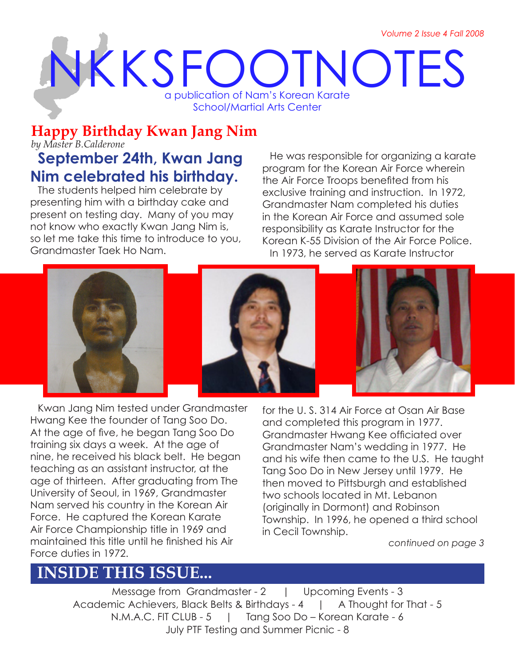*Volume 2 Issue 4 Fall 2008*

# NKKSFOOTNOTES a publication of Nam's Korean Karate School/Martial Arts Center

# **Happy Birthday Kwan Jang Nim**

*by Master B.Calderone*

# **September 24th, Kwan Jang Nim celebrated his birthday.**

The students helped him celebrate by presenting him with a birthday cake and present on testing day. Many of you may not know who exactly Kwan Jang Nim is, so let me take this time to introduce to you, Grandmaster Taek Ho Nam.

He was responsible for organizing a karate program for the Korean Air Force wherein the Air Force Troops benefited from his exclusive training and instruction. In 1972, Grandmaster Nam completed his duties in the Korean Air Force and assumed sole responsibility as Karate Instructor for the Korean K-55 Division of the Air Force Police. In 1973, he served as Karate Instructor



Kwan Jang Nim tested under Grandmaster Hwang Kee the founder of Tang Soo Do. At the age of five, he began Tang Soo Do training six days a week. At the age of nine, he received his black belt. He began teaching as an assistant instructor, at the age of thirteen. After graduating from The University of Seoul, in 1969, Grandmaster Nam served his country in the Korean Air Force. He captured the Korean Karate Air Force Championship title in 1969 and maintained this title until he finished his Air Force duties in 1972.

for the U. S. 314 Air Force at Osan Air Base and completed this program in 1977. Grandmaster Hwang Kee officiated over Grandmaster Nam's wedding in 1977. He and his wife then came to the U.S. He taught Tang Soo Do in New Jersey until 1979. He then moved to Pittsburgh and established two schools located in Mt. Lebanon (originally in Dormont) and Robinson Township. In 1996, he opened a third school in Cecil Township.

*continued on page 3*

# **INSIDE THIS ISSUE...**

Message from Grandmaster - 2 | Upcoming Events - 3 Academic Achievers, Black Belts & Birthdays - 4 | A Thought for That - 5 N.M.A.C. FIT CLUB - 5 | Tang Soo Do – Korean Karate - 6 July PTF Testing and Summer Picnic - 8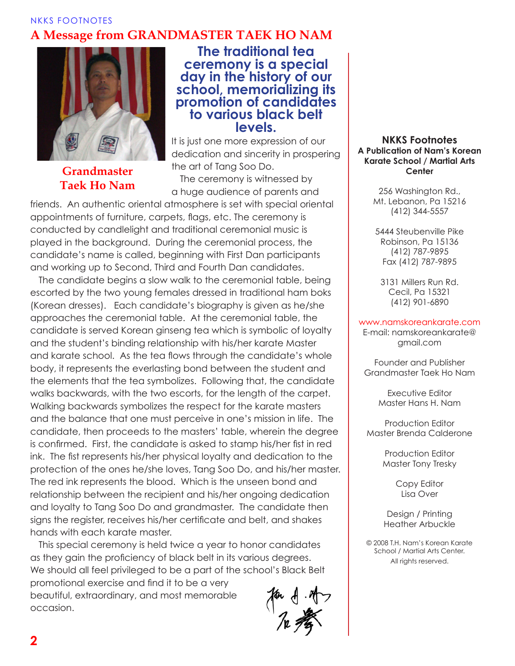#### NKKS FOOTNOTES **A Message from GRANDMASTER TAEK HO NAM**



#### **Grandmaster Taek Ho Nam**

### **The traditional tea ceremony is a special day in the history of our school, memorializing its promotion of candidates to various black belt levels.**

It is just one more expression of our dedication and sincerity in prospering the art of Tang Soo Do.

The ceremony is witnessed by a huge audience of parents and

friends. An authentic oriental atmosphere is set with special oriental appointments of furniture, carpets, flags, etc. The ceremony is conducted by candlelight and traditional ceremonial music is played in the background. During the ceremonial process, the candidate's name is called, beginning with First Dan participants and working up to Second, Third and Fourth Dan candidates.

The candidate begins a slow walk to the ceremonial table, being escorted by the two young females dressed in traditional ham boks (Korean dresses). Each candidate's biography is given as he/she approaches the ceremonial table. At the ceremonial table, the candidate is served Korean ginseng tea which is symbolic of loyalty and the student's binding relationship with his/her karate Master and karate school. As the tea flows through the candidate's whole body, it represents the everlasting bond between the student and the elements that the tea symbolizes. Following that, the candidate walks backwards, with the two escorts, for the length of the carpet. Walking backwards symbolizes the respect for the karate masters and the balance that one must perceive in one's mission in life. The candidate, then proceeds to the masters' table, wherein the degree is confirmed. First, the candidate is asked to stamp his/her fist in red ink. The fist represents his/her physical loyalty and dedication to the protection of the ones he/she loves, Tang Soo Do, and his/her master. The red ink represents the blood. Which is the unseen bond and relationship between the recipient and his/her ongoing dedication and loyalty to Tang Soo Do and grandmaster. The candidate then signs the register, receives his/her certificate and belt, and shakes hands with each karate master.

This special ceremony is held twice a year to honor candidates as they gain the proficiency of black belt in its various degrees. We should all feel privileged to be a part of the school's Black Belt promotional exercise and find it to be a very beautiful, extraordinary, and most memorable occasion.

#### **NKKS Footnotes A Publication of Nam's Korean Karate School / Martial Arts Center**

256 Washington Rd., Mt. Lebanon, Pa 15216 (412) 344-5557

5444 Steubenville Pike Robinson, Pa 15136 (412) 787-9895 Fax (412) 787-9895

3131 Millers Run Rd. Cecil, Pa 15321 (412) 901-6890

#### www.namskoreankarate.com

E-mail: namskoreankarate@ gmail.com

Founder and Publisher Grandmaster Taek Ho Nam

> Executive Editor Master Hans H. Nam

Production Editor Master Brenda Calderone

> Production Editor Master Tony Tresky

> > Copy Editor Lisa Over

Design / Printing Heather Arbuckle

© 2008 T.H. Nam's Korean Karate School / Martial Arts Center. All rights reserved.

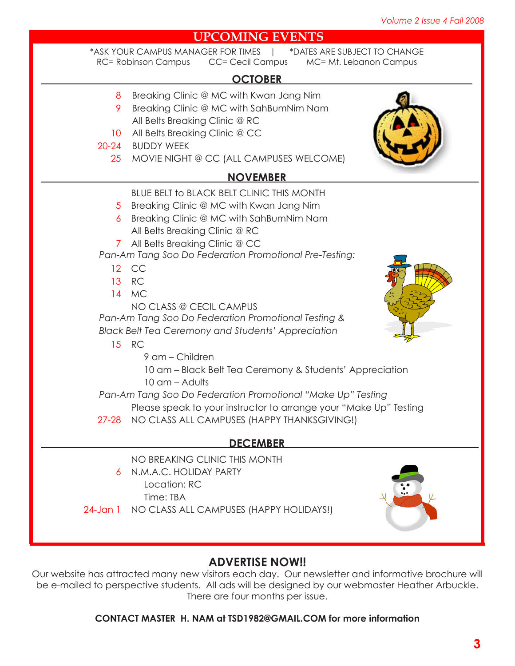#### **UPCOMING EVENTS** 8 Breaking Clinic @ MC with Kwan Jang Nim 9 Breaking Clinic @ MC with SahBumNim Nam All Belts Breaking Clinic @ RC 10 All Belts Breaking Clinic @ CC 20-24 BUDDY WEEK 25 MOVIE NIGHT @ CC (ALL CAMPUSES WELCOME) \*ASK YOUR CAMPUS MANAGER FOR TIMES | \*DATES ARE SUBJECT TO CHANGE RC= Robinson Campus CC= Cecil Campus MC= Mt. Lebanon Campus **OCTOBER NOVEMBER** BLUE BELT to BLACK BELT CLINIC THIS MONTH 5 Breaking Clinic @ MC with Kwan Jang Nim 6 Breaking Clinic @ MC with SahBumNim Nam All Belts Breaking Clinic @ RC 7 All Belts Breaking Clinic @ CC 12 CC 13 RC 14 MC NO CLASS @ CECIL CAMPUS 15 RC 9 am – Children 10 am – Black Belt Tea Ceremony & Students' Appreciation 10 am – Adults Please speak to your instructor to arrange your "Make Up" Testing 27-28 NO CLASS ALL CAMPUSES (HAPPY THANKSGIVING!) *Pan-Am Tang Soo Do Federation Promotional Pre-Testing: Pan-Am Tang Soo Do Federation Promotional Testing & Black Belt Tea Ceremony and Students' Appreciation Pan-Am Tang Soo Do Federation Promotional "Make Up" Testing* NO BREAKING CLINIC THIS MONTH N.M.A.C. HOLIDAY PARTY 6 Location: RC Time: TBA 24-Jan 1 NO CLASS ALL CAMPUSES (HAPPY HOLIDAYS!) **DECEMBER**

### **ADVERTISE NOW!!**

Our website has attracted many new visitors each day. Our newsletter and informative brochure will be e-mailed to perspective students. All ads will be designed by our webmaster Heather Arbuckle. There are four months per issue.

#### **CONTACT MASTER H. NAM at TSD1982@GMAIL.COM for more information**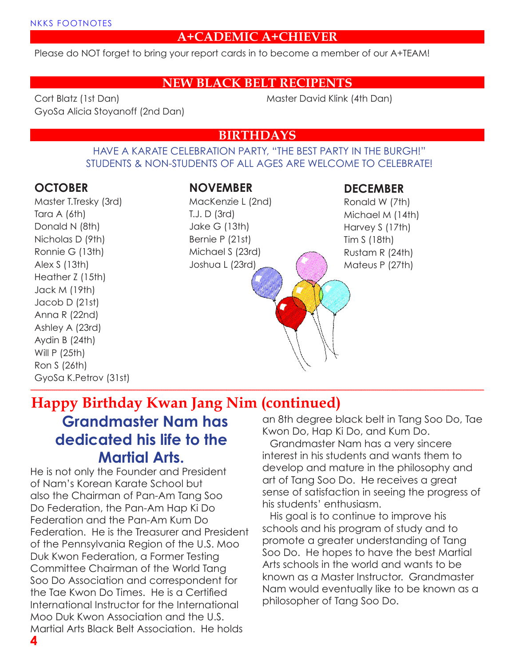#### **A+CADEMIC A+CHIEVER**

Please do NOT forget to bring your report cards in to become a member of our A+TEAM!

#### **NEW BLACK BELT RECIPENTS**

Cort Blatz (1st Dan) GyoSa Alicia Stoyanoff (2nd Dan) Master David Klink (4th Dan)

#### **BIRTHDAYS**

#### HAVE A KARATE CELEBRATION PARTY, "THE BEST PARTY IN THE BURGH!" STUDENTS & NON-STUDENTS OF ALL AGES ARE WELCOME TO CELEBRATE!

#### **OCTOBER**

Master T.Tresky (3rd) Tara A (6th) Donald N (8th) Nicholas D (9th) Ronnie G (13th) Alex S (13th) Heather Z (15th) Jack M (19th) Jacob D (21st) Anna R (22nd) Ashley A (23rd) Aydin B (24th) Will P (25th) Ron S (26th) GyoSa K.Petrov (31st)

#### **NOVEMBER**

MacKenzie L (2nd) T.J. D (3rd) Jake G (13th) Bernie P (21st) Michael S (23rd) Joshua L (23rd)

#### **DECEMBER**

Ronald W (7th) Michael M (14th) Harvey S (17th) Tim S (18th) Rustam R (24th) Mateus P (27th)

### **Grandmaster Nam has dedicated his life to the Martial Arts. Happy Birthday Kwan Jang Nim (continued)**

He is not only the Founder and President of Nam's Korean Karate School but also the Chairman of Pan-Am Tang Soo Do Federation, the Pan-Am Hap Ki Do Federation and the Pan-Am Kum Do Federation. He is the Treasurer and President of the Pennsylvania Region of the U.S. Moo Duk Kwon Federation, a Former Testing Committee Chairman of the World Tang Soo Do Association and correspondent for the Tae Kwon Do Times. He is a Certified International Instructor for the International Moo Duk Kwon Association and the U.S. Martial Arts Black Belt Association. He holds

an 8th degree black belt in Tang Soo Do, Tae Kwon Do, Hap Ki Do, and Kum Do.

Grandmaster Nam has a very sincere interest in his students and wants them to develop and mature in the philosophy and art of Tang Soo Do. He receives a great sense of satisfaction in seeing the progress of his students' enthusiasm.

His goal is to continue to improve his schools and his program of study and to promote a greater understanding of Tang Soo Do. He hopes to have the best Martial Arts schools in the world and wants to be known as a Master Instructor. Grandmaster Nam would eventually like to be known as a philosopher of Tang Soo Do.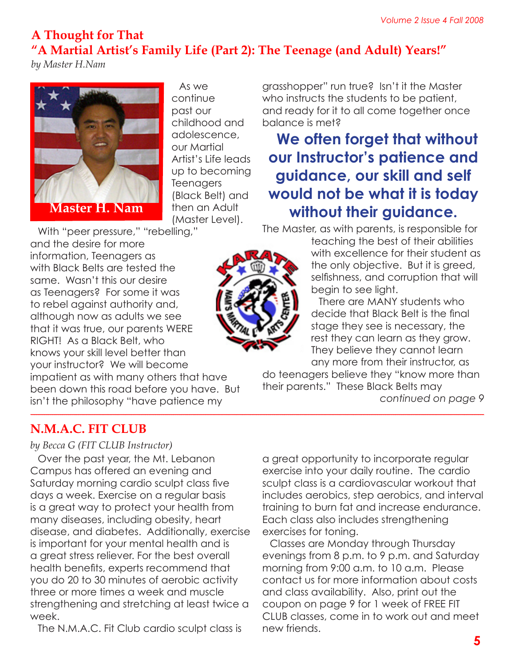### **A Thought for That "A Martial Artist's Family Life (Part 2): The Teenage (and Adult) Years!"**

*by Master H.Nam*



As we continue past our childhood and adolescence, our Martial Artist's Life leads up to becoming **Teenagers** (Black Belt) and then an Adult (Master Level).

With "peer pressure," "rebelling," and the desire for more information, Teenagers as with Black Belts are tested the same. Wasn't this our desire as Teenagers? For some it was to rebel against authority and, although now as adults we see that it was true, our parents WERE RIGHT! As a Black Belt, who knows your skill level better than your instructor? We will become impatient as with many others that have been down this road before you have. But

isn't the philosophy "have patience my

### **N.M.A.C. FIT CLUB**

*by Becca G (FIT CLUB Instructor)*

Over the past year, the Mt. Lebanon Campus has offered an evening and Saturday morning cardio sculpt class five days a week. Exercise on a regular basis is a great way to protect your health from many diseases, including obesity, heart disease, and diabetes. Additionally, exercise is important for your mental health and is a great stress reliever. For the best overall health benefits, experts recommend that you do 20 to 30 minutes of aerobic activity three or more times a week and muscle strengthening and stretching at least twice a week.

The N.M.A.C. Fit Club cardio sculpt class is

grasshopper" run true? Isn't it the Master who instructs the students to be patient, and ready for it to all come together once balance is met?

**We often forget that without our Instructor's patience and guidance, our skill and self would not be what it is today without their guidance.** 

The Master, as with parents, is responsible for

teaching the best of their abilities with excellence for their student as the only objective. But it is greed, selfishness, and corruption that will begin to see light.

There are MANY students who decide that Black Belt is the final stage they see is necessary, the rest they can learn as they grow. They believe they cannot learn any more from their instructor, as

do teenagers believe they "know more than their parents." These Black Belts may

*continued on page 9*

a great opportunity to incorporate regular exercise into your daily routine. The cardio sculpt class is a cardiovascular workout that includes aerobics, step aerobics, and interval training to burn fat and increase endurance. Each class also includes strengthening exercises for toning.

Classes are Monday through Thursday evenings from 8 p.m. to 9 p.m. and Saturday morning from 9:00 a.m. to 10 a.m. Please contact us for more information about costs and class availability. Also, print out the coupon on page 9 for 1 week of FREE FIT CLUB classes, come in to work out and meet new friends.

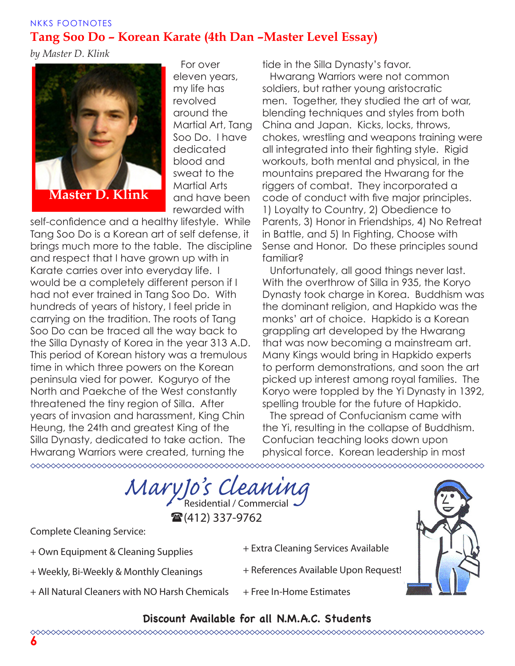#### NKKS FOOTNOTES **Tang Soo Do – Korean Karate (4th Dan –Master Level Essay)**

*by Master D. Klink*



For over eleven years, my life has revolved around the Martial Art, Tang Soo Do. I have dedicated blood and sweat to the Martial Arts and have been rewarded with

self-confidence and a healthy lifestyle. While Tang Soo Do is a Korean art of self defense, it brings much more to the table. The discipline and respect that I have grown up with in Karate carries over into everyday life. I would be a completely different person if I had not ever trained in Tang Soo Do. With hundreds of years of history, I feel pride in carrying on the tradition. The roots of Tang Soo Do can be traced all the way back to the Silla Dynasty of Korea in the year 313 A.D. This period of Korean history was a tremulous time in which three powers on the Korean peninsula vied for power. Koguryo of the North and Paekche of the West constantly threatened the tiny region of Silla. After years of invasion and harassment, King Chin Heung, the 24th and greatest King of the Silla Dynasty, dedicated to take action. The Hwarang Warriors were created, turning the 

tide in the Silla Dynasty's favor.

Hwarang Warriors were not common soldiers, but rather young aristocratic men. Together, they studied the art of war, blending techniques and styles from both China and Japan. Kicks, locks, throws, chokes, wrestling and weapons training were all integrated into their fighting style. Rigid workouts, both mental and physical, in the mountains prepared the Hwarang for the riggers of combat. They incorporated a code of conduct with five major principles. 1) Loyalty to Country, 2) Obedience to Parents, 3) Honor in Friendships, 4) No Retreat in Battle, and 5) In Fighting, Choose with Sense and Honor. Do these principles sound familiar?

Unfortunately, all good things never last. With the overthrow of Silla in 935, the Koryo Dynasty took charge in Korea. Buddhism was the dominant religion, and Hapkido was the monks' art of choice. Hapkido is a Korean grappling art developed by the Hwarang that was now becoming a mainstream art. Many Kings would bring in Hapkido experts to perform demonstrations, and soon the art picked up interest among royal families. The Koryo were toppled by the Yi Dynasty in 1392, spelling trouble for the future of Hapkido.

The spread of Confucianism came with the Yi, resulting in the collapse of Buddhism. Confucian teaching looks down upon physical force. Korean leadership in most

MaryJo's Cleaning  $\mathbf{\widehat{a}}(412)$  337-9762

Complete Cleaning Service:

- + Own Equipment & Cleaning Supplies
- + Weekly, Bi-Weekly & Monthly Cleanings
- + References Available Upon Request!
- + All Natural Cleaners with NO Harsh Chemicals
- + Free In-Home Estimates

+ Extra Cleaning Services Available

### **Discount Available for all N.M.A.C. Students**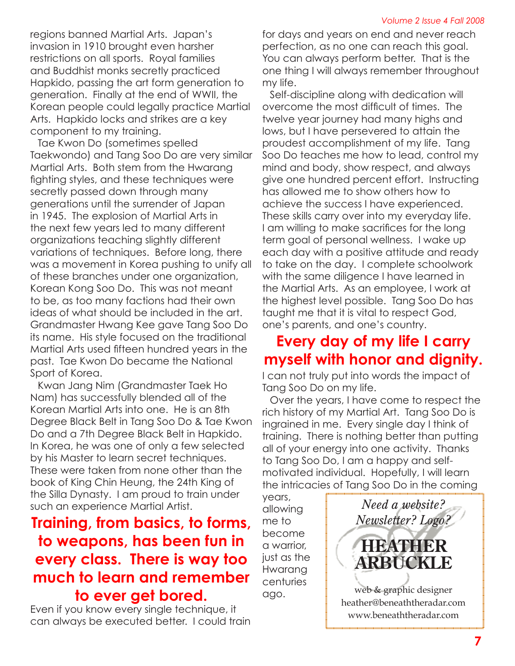regions banned Martial Arts. Japan's invasion in 1910 brought even harsher restrictions on all sports. Royal families and Buddhist monks secretly practiced Hapkido, passing the art form generation to generation. Finally at the end of WWII, the Korean people could legally practice Martial Arts. Hapkido locks and strikes are a key component to my training.

Tae Kwon Do (sometimes spelled Taekwondo) and Tang Soo Do are very similar Martial Arts. Both stem from the Hwarang fighting styles, and these techniques were secretly passed down through many generations until the surrender of Japan in 1945. The explosion of Martial Arts in the next few years led to many different organizations teaching slightly different variations of techniques. Before long, there was a movement in Korea pushing to unify all of these branches under one organization, Korean Kong Soo Do. This was not meant to be, as too many factions had their own ideas of what should be included in the art. Grandmaster Hwang Kee gave Tang Soo Do its name. His style focused on the traditional Martial Arts used fifteen hundred years in the past. Tae Kwon Do became the National Sport of Korea.

Kwan Jang Nim (Grandmaster Taek Ho Nam) has successfully blended all of the Korean Martial Arts into one. He is an 8th Degree Black Belt in Tang Soo Do & Tae Kwon Do and a 7th Degree Black Belt in Hapkido. In Korea, he was one of only a few selected by his Master to learn secret techniques. These were taken from none other than the book of King Chin Heung, the 24th King of the Silla Dynasty. I am proud to train under such an experience Martial Artist.

## **Training, from basics, to forms, to weapons, has been fun in every class. There is way too much to learn and remember to ever get bored.**

Even if you know every single technique, it can always be executed better. I could train for days and years on end and never reach perfection, as no one can reach this goal. You can always perform better. That is the one thing I will always remember throughout my life.

Self-discipline along with dedication will overcome the most difficult of times. The twelve year journey had many highs and lows, but I have persevered to attain the proudest accomplishment of my life. Tang Soo Do teaches me how to lead, control my mind and body, show respect, and always give one hundred percent effort. Instructing has allowed me to show others how to achieve the success I have experienced. These skills carry over into my everyday life. I am willing to make sacrifices for the long term goal of personal wellness. I wake up each day with a positive attitude and ready to take on the day. I complete schoolwork with the same diligence I have learned in the Martial Arts. As an employee, I work at the highest level possible. Tang Soo Do has taught me that it is vital to respect God, one's parents, and one's country.

# **Every day of my life I carry myself with honor and dignity.**

I can not truly put into words the impact of Tang Soo Do on my life.

Over the years, I have come to respect the rich history of my Martial Art. Tang Soo Do is ingrained in me. Every single day I think of training. There is nothing better than putting all of your energy into one activity. Thanks to Tang Soo Do, I am a happy and selfmotivated individual. Hopefully, I will learn the intricacies of Tang Soo Do in the coming

years, allowing me to become a warrior, just as the **Hwarana** centuries ago.

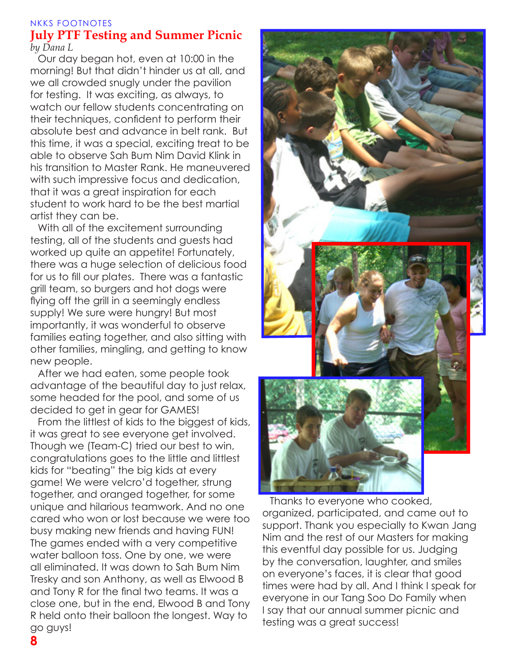#### NKKS FOOTNOTES **July PTF Testing and Summer Picnic** *by Dana L*

Our day began hot, even at 10:00 in the morning! But that didn't hinder us at all, and we all crowded snugly under the pavilion for testing. It was exciting, as always, to watch our fellow students concentrating on their techniques, confident to perform their absolute best and advance in belt rank. But this time, it was a special, exciting treat to be able to observe Sah Bum Nim David Klink in his transition to Master Rank. He maneuvered with such impressive focus and dedication, that it was a great inspiration for each student to work hard to be the best martial artist they can be.

With all of the excitement surrounding testing, all of the students and guests had worked up quite an appetite! Fortunately, there was a huge selection of delicious food for us to fill our plates. There was a fantastic grill team, so burgers and hot dogs were flying off the grill in a seemingly endless supply! We sure were hungry! But most importantly, it was wonderful to observe families eating together, and also sitting with other families, mingling, and getting to know new people.

After we had eaten, some people took advantage of the beautiful day to just relax, some headed for the pool, and some of us decided to get in gear for GAMES!

From the littlest of kids to the biggest of kids, it was great to see everyone get involved. Though we (Team-C) tried our best to win, congratulations goes to the little and littlest kids for "beating" the big kids at every game! We were velcro'd together, strung together, and oranged together, for some unique and hilarious teamwork. And no one cared who won or lost because we were too busy making new friends and having FUN! The games ended with a very competitive water balloon toss. One by one, we were all eliminated. It was down to Sah Bum Nim Tresky and son Anthony, as well as Elwood B and Tony R for the final two teams. It was a close one, but in the end, Elwood B and Tony R held onto their balloon the longest. Way to go guys!



Thanks to everyone who cooked, organized, participated, and came out to support. Thank you especially to Kwan Jang Nim and the rest of our Masters for making this eventful day possible for us. Judging by the conversation, laughter, and smiles on everyone's faces, it is clear that good times were had by all. And I think I speak for everyone in our Tang Soo Do Family when I say that our annual summer picnic and testing was a great success!